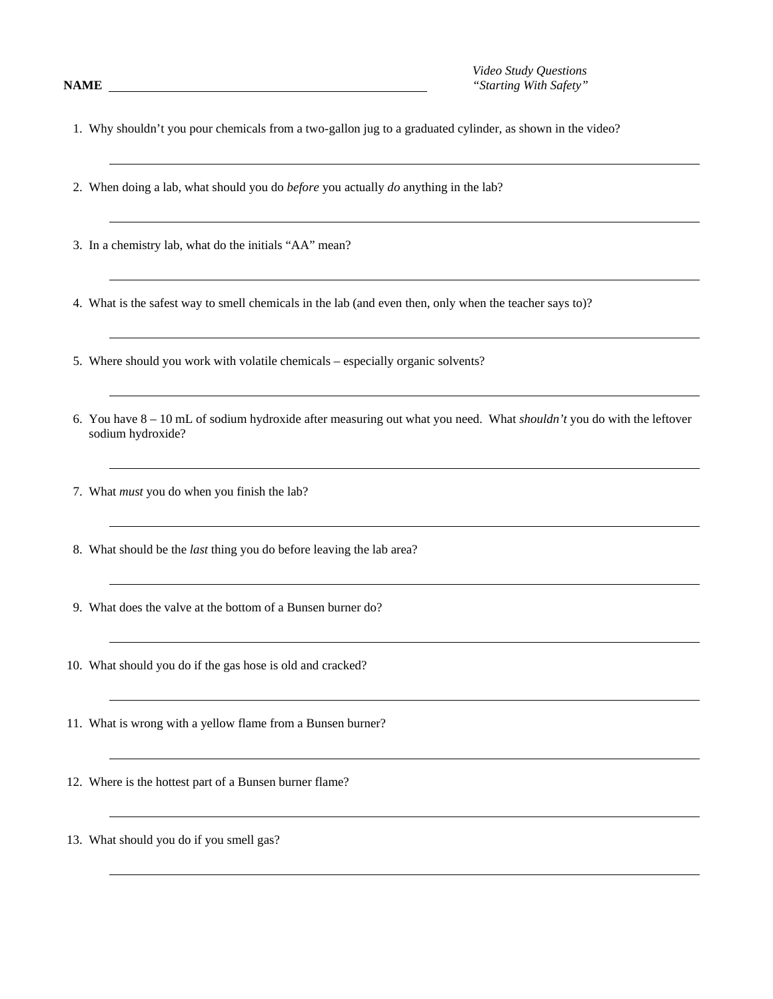*Video Study Questions* **NAME** *"Starting With Safety"*

1. Why shouldn't you pour chemicals from a two-gallon jug to a graduated cylinder, as shown in the video?

- 2. When doing a lab, what should you do *before* you actually *do* anything in the lab?
- 3. In a chemistry lab, what do the initials "AA" mean?

4. What is the safest way to smell chemicals in the lab (and even then, only when the teacher says to)?

5. Where should you work with volatile chemicals – especially organic solvents?

- 6. You have 8 10 mL of sodium hydroxide after measuring out what you need. What *shouldn't* you do with the leftover sodium hydroxide?
- 7. What *must* you do when you finish the lab?
- 8. What should be the *last* thing you do before leaving the lab area?
- 9. What does the valve at the bottom of a Bunsen burner do?
- 10. What should you do if the gas hose is old and cracked?
- 11. What is wrong with a yellow flame from a Bunsen burner?
- 12. Where is the hottest part of a Bunsen burner flame?
- 13. What should you do if you smell gas?